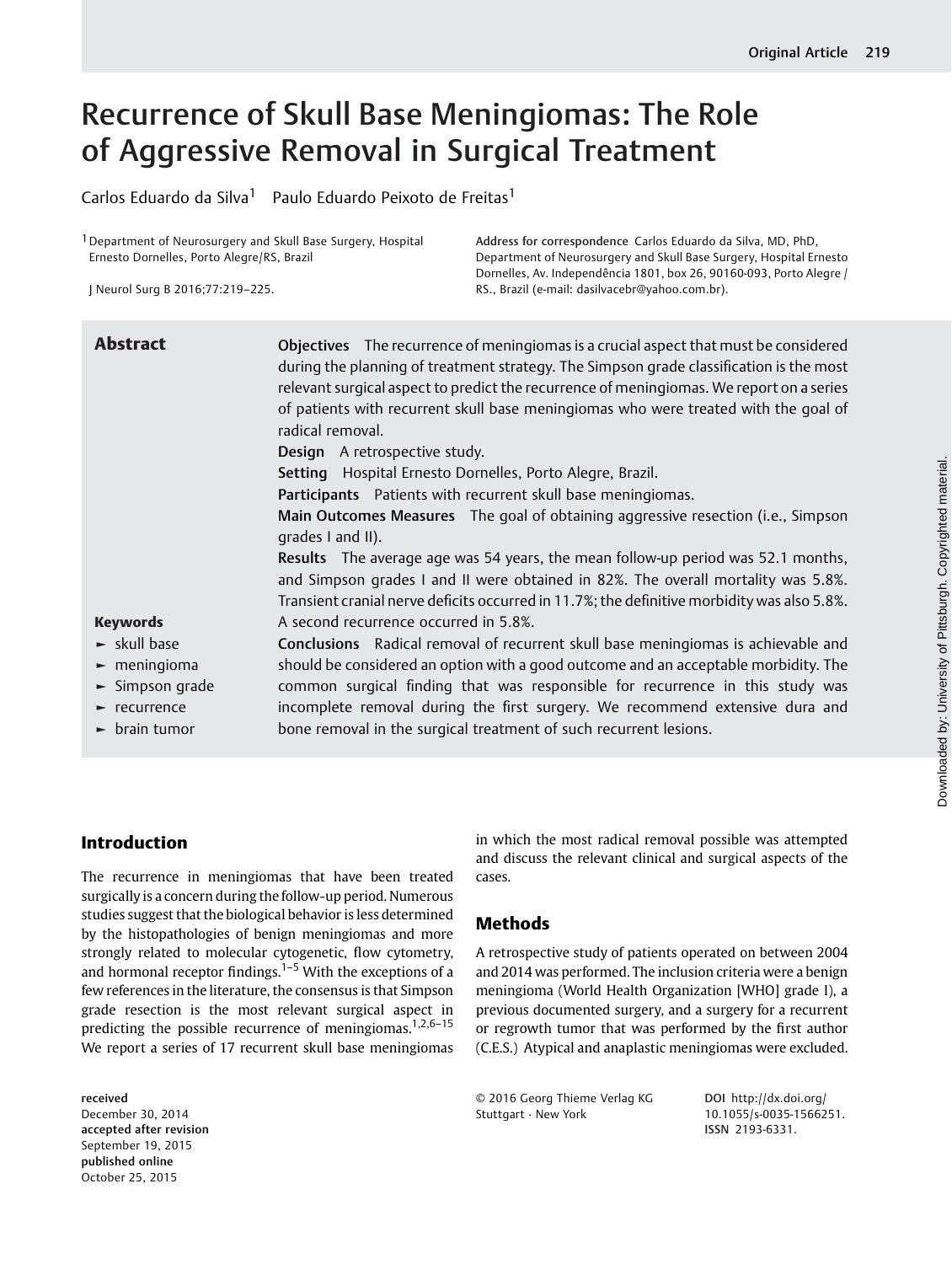# Recurrence of Skull Base Meningiomas: The Role of Aggressive Removal in Surgical Treatment

Carlos Eduardo da Silva<sup>1</sup> Paulo Eduardo Peixoto de Freitas<sup>1</sup>

<sup>1</sup> Department of Neurosurgery and Skull Base Surgery, Hospital Ernesto Dornelles, Porto Alegre/RS, Brazil

J Neurol Surg B 2016;77:219–225.

Address for correspondence Carlos Eduardo da Silva, MD, PhD, Department of Neurosurgery and Skull Base Surgery, Hospital Ernesto Dornelles, Av. Independência 1801, box 26, 90160-093, Porto Alegre / RS., Brazil (e-mail: [dasilvacebr@yahoo.com.br\)](mailto:dasilvacebr@yahoo.com.br).

| <b>Abstract</b>                                                                                                                                                                      | Objectives The recurrence of meningiomas is a crucial aspect that must be considered<br>during the planning of treatment strategy. The Simpson grade classification is the most<br>relevant surgical aspect to predict the recurrence of meningiomas. We report on a series<br>of patients with recurrent skull base meningiomas who were treated with the goal of<br>radical removal.<br><b>Design</b> A retrospective study.<br>Setting Hospital Ernesto Dornelles, Porto Alegre, Brazil. |  |  |  |  |
|--------------------------------------------------------------------------------------------------------------------------------------------------------------------------------------|---------------------------------------------------------------------------------------------------------------------------------------------------------------------------------------------------------------------------------------------------------------------------------------------------------------------------------------------------------------------------------------------------------------------------------------------------------------------------------------------|--|--|--|--|
|                                                                                                                                                                                      | Participants Patients with recurrent skull base meningiomas.<br>Main Outcomes Measures The goal of obtaining aggressive resection (i.e., Simpson<br>grades I and II).                                                                                                                                                                                                                                                                                                                       |  |  |  |  |
|                                                                                                                                                                                      | Results The average age was 54 years, the mean follow-up period was 52.1 months,<br>and Simpson grades I and II were obtained in 82%. The overall mortality was 5.8%.<br>Transient cranial nerve deficits occurred in 11.7%; the definitive morbidity was also 5.8%.                                                                                                                                                                                                                        |  |  |  |  |
| <b>Keywords</b>                                                                                                                                                                      | A second recurrence occurred in 5.8%.                                                                                                                                                                                                                                                                                                                                                                                                                                                       |  |  |  |  |
| $\blacktriangleright$ skull base<br>$\blacktriangleright$ meningioma<br>$\blacktriangleright$ Simpson grade<br>$\blacktriangleright$ recurrence<br>$\blacktriangleright$ brain tumor | Conclusions Radical removal of recurrent skull base meningiomas is achievable and<br>should be considered an option with a good outcome and an acceptable morbidity. The<br>common surgical finding that was responsible for recurrence in this study was<br>incomplete removal during the first surgery. We recommend extensive dura and<br>bone removal in the surgical treatment of such recurrent lesions.                                                                              |  |  |  |  |

### Introduction

The recurrence in meningiomas that have been treated surgically is a concern during the follow-up period. Numerous studies suggest that the biological behavior is less determined by the histopathologies of benign meningiomas and more strongly related to molecular cytogenetic, flow cytometry, and hormonal receptor findings.<sup> $1-5$ </sup> With the exceptions of a few references in the literature, the consensus is that Simpson grade resection is the most relevant surgical aspect in predicting the possible recurrence of meningiomas.<sup>1,2,6-15</sup> We report a series of 17 recurrent skull base meningiomas

received December 30, 2014 accepted after revision September 19, 2015 published online October 25, 2015

in which the most radical removal possible was attempted and discuss the relevant clinical and surgical aspects of the cases.

## **Methods**

A retrospective study of patients operated on between 2004 and 2014 was performed. The inclusion criteria were a benign meningioma (World Health Organization [WHO] grade I), a previous documented surgery, and a surgery for a recurrent or regrowth tumor that was performed by the first author (C.E.S.) Atypical and anaplastic meningiomas were excluded.

© 2016 Georg Thieme Verlag KG Stuttgart · New York

DOI [http://dx.doi.org/](http://dx.doi.org/10.1055/s-0035-1566251) [10.1055/s-0035-1566251.](http://dx.doi.org/10.1055/s-0035-1566251) ISSN 2193-6331.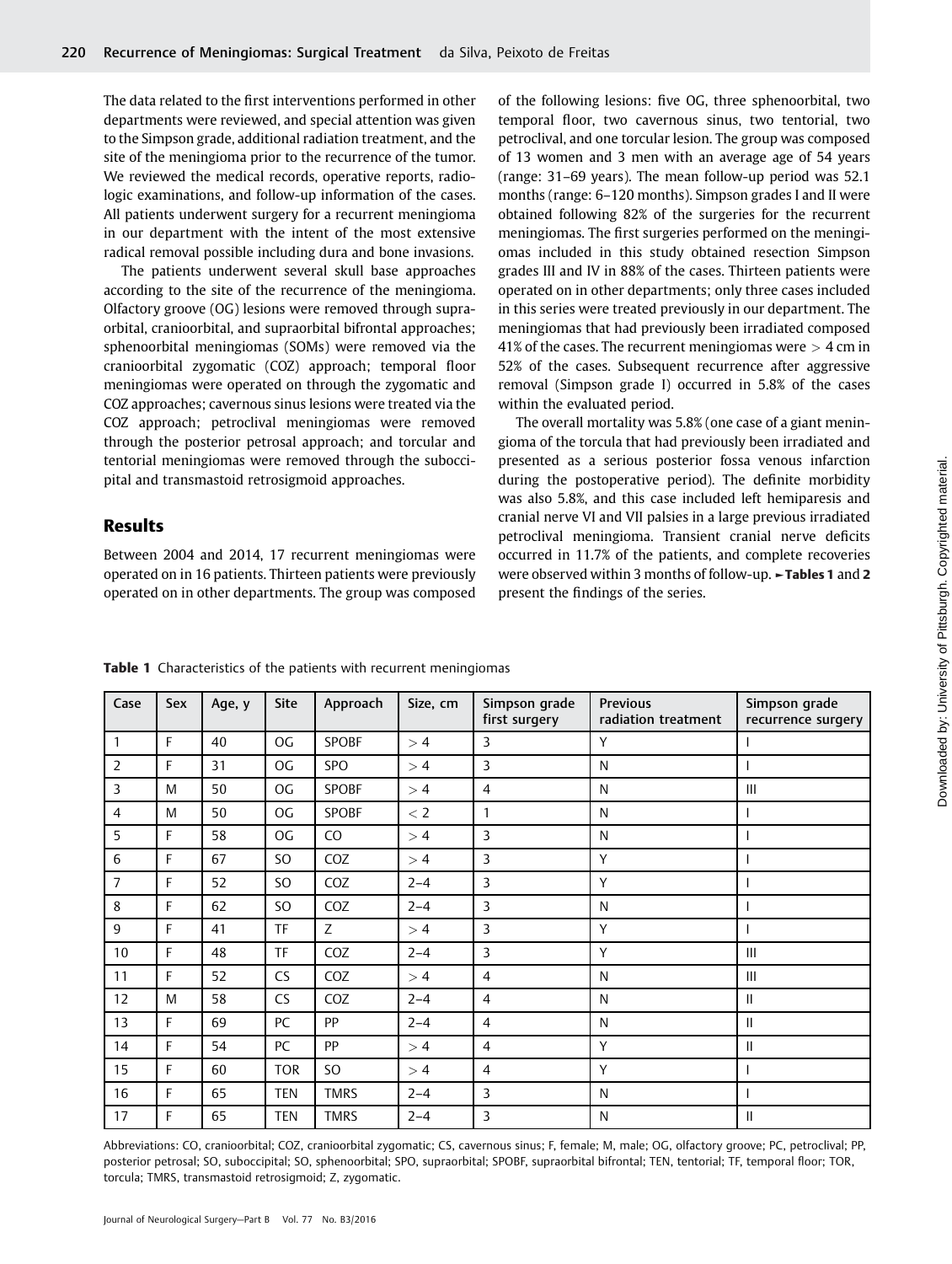The data related to the first interventions performed in other departments were reviewed, and special attention was given to the Simpson grade, additional radiation treatment, and the site of the meningioma prior to the recurrence of the tumor. We reviewed the medical records, operative reports, radiologic examinations, and follow-up information of the cases. All patients underwent surgery for a recurrent meningioma in our department with the intent of the most extensive radical removal possible including dura and bone invasions.

The patients underwent several skull base approaches according to the site of the recurrence of the meningioma. Olfactory groove (OG) lesions were removed through supraorbital, cranioorbital, and supraorbital bifrontal approaches; sphenoorbital meningiomas (SOMs) were removed via the cranioorbital zygomatic (COZ) approach; temporal floor meningiomas were operated on through the zygomatic and COZ approaches; cavernous sinus lesions were treated via the COZ approach; petroclival meningiomas were removed through the posterior petrosal approach; and torcular and tentorial meningiomas were removed through the suboccipital and transmastoid retrosigmoid approaches.

#### Results

Between 2004 and 2014, 17 recurrent meningiomas were operated on in 16 patients. Thirteen patients were previously operated on in other departments. The group was composed of the following lesions: five OG, three sphenoorbital, two temporal floor, two cavernous sinus, two tentorial, two petroclival, and one torcular lesion. The group was composed of 13 women and 3 men with an average age of 54 years (range: 31–69 years). The mean follow-up period was 52.1 months (range: 6–120 months). Simpson grades I and II were obtained following 82% of the surgeries for the recurrent meningiomas. The first surgeries performed on the meningiomas included in this study obtained resection Simpson grades III and IV in 88% of the cases. Thirteen patients were operated on in other departments; only three cases included in this series were treated previously in our department. The meningiomas that had previously been irradiated composed 41% of the cases. The recurrent meningiomas were  $>$  4 cm in 52% of the cases. Subsequent recurrence after aggressive removal (Simpson grade I) occurred in 5.8% of the cases within the evaluated period.

The overall mortality was 5.8% (one case of a giant meningioma of the torcula that had previously been irradiated and presented as a serious posterior fossa venous infarction during the postoperative period). The definite morbidity was also 5.8%, and this case included left hemiparesis and cranial nerve VI and VII palsies in a large previous irradiated petroclival meningioma. Transient cranial nerve deficits occurred in 11.7% of the patients, and complete recoveries were observed within 3 months of follow-up. ► Tables 1 and 2 present the findings of the series.

| Case           | Sex          | Age, y | <b>Site</b> | Approach     | Size, cm | Simpson grade<br>first surgery | <b>Previous</b><br>radiation treatment | Simpson grade<br>recurrence surgery |
|----------------|--------------|--------|-------------|--------------|----------|--------------------------------|----------------------------------------|-------------------------------------|
| $\mathbf{1}$   | F            | 40     | OG          | <b>SPOBF</b> | >4       | 3                              | Y                                      |                                     |
| $\overline{2}$ | F            | 31     | <b>OG</b>   | <b>SPO</b>   | >4       | 3                              | N                                      |                                     |
| 3              | M            | 50     | OG          | <b>SPOBF</b> | >4       | $\overline{4}$                 | N                                      | $\mathbf{III}$                      |
| $\overline{4}$ | M            | 50     | <b>OG</b>   | <b>SPOBF</b> | < 2      | $\mathbf{1}$                   | N                                      |                                     |
| 5              | F            | 58     | OG          | CO           | >4       | $\overline{3}$                 | N                                      |                                     |
| 6              | F            | 67     | SO.         | COZ          | >4       | $\overline{3}$                 | Y                                      |                                     |
| $\overline{7}$ | F            | 52     | SO.         | COZ          | $2 - 4$  | $\overline{3}$                 | Y                                      |                                     |
| 8              | F            | 62     | SO.         | COZ          | $2 - 4$  | 3                              | N                                      |                                     |
| 9              | F            | 41     | <b>TF</b>   | Z            | >4       | $\overline{3}$                 | Y                                      |                                     |
| 10             | F            | 48     | TF          | COZ          | $2 - 4$  | 3                              | Y                                      | III                                 |
| 11             | $\mathsf{F}$ | 52     | CS          | COZ          | >4       | $\overline{4}$                 | N                                      | III                                 |
| 12             | M            | 58     | CS          | <b>COZ</b>   | $2 - 4$  | $\overline{4}$                 | N                                      | $\mathbf{II}$                       |
| 13             | F            | 69     | PC          | PP           | $2 - 4$  | $\overline{4}$                 | N                                      | $\mathbf{II}$                       |
| 14             | F            | 54     | PC          | PP           | >4       | $\overline{4}$                 | Y                                      | $\mathbf{I}$                        |
| 15             | F            | 60     | <b>TOR</b>  | SO.          | >4       | $\overline{4}$                 | Y                                      |                                     |
| 16             | F            | 65     | TEN         | <b>TMRS</b>  | $2 - 4$  | 3                              | N                                      |                                     |
| 17             | F            | 65     | <b>TEN</b>  | <b>TMRS</b>  | $2 - 4$  | 3                              | N                                      | $\mathbf{I}$                        |

**Table 1** Characteristics of the patients with recurrent meningiomas

Abbreviations: CO, cranioorbital; COZ, cranioorbital zygomatic; CS, cavernous sinus; F, female; M, male; OG, olfactory groove; PC, petroclival; PP, posterior petrosal; SO, suboccipital; SO, sphenoorbital; SPO, supraorbital; SPOBF, supraorbital bifrontal; TEN, tentorial; TF, temporal floor; TOR, torcula; TMRS, transmastoid retrosigmoid; Z, zygomatic.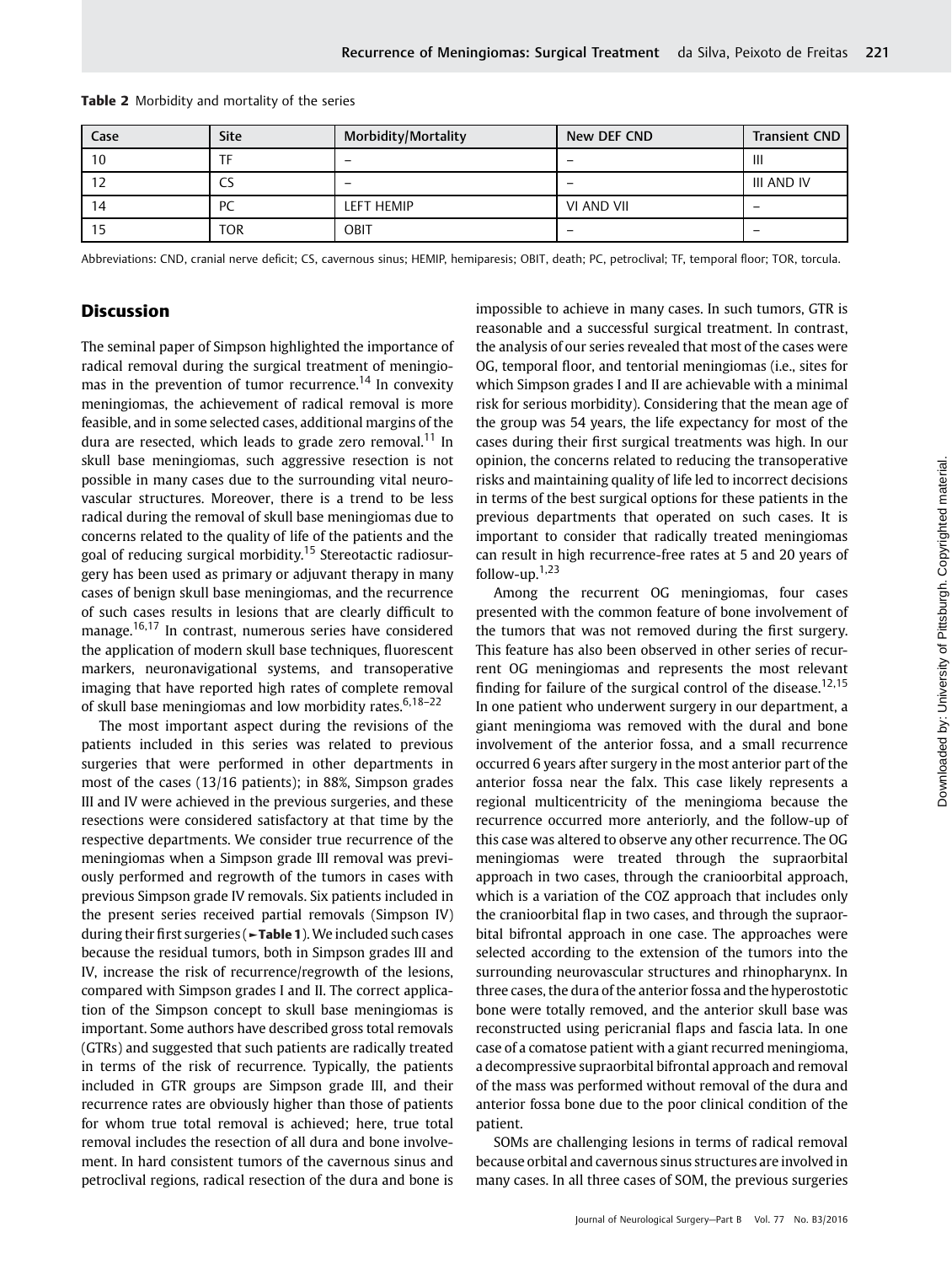| Case | <b>Site</b> | Morbidity/Mortality | New DEF CND | <b>Transient CND</b> |
|------|-------------|---------------------|-------------|----------------------|
| 10   | TF          |                     |             | Ш                    |
|      | CS          |                     |             | III AND IV           |
| 14   | PC          | LEFT HEMIP          | VI AND VII  |                      |
| 15   | <b>TOR</b>  | OBIT                |             |                      |

Table 2 Morbidity and mortality of the series

Abbreviations: CND, cranial nerve deficit; CS, cavernous sinus; HEMIP, hemiparesis; OBIT, death; PC, petroclival; TF, temporal floor; TOR, torcula.

#### **Discussion**

The seminal paper of Simpson highlighted the importance of radical removal during the surgical treatment of meningiomas in the prevention of tumor recurrence.<sup>14</sup> In convexity meningiomas, the achievement of radical removal is more feasible, and in some selected cases, additional margins of the dura are resected, which leads to grade zero removal.<sup>11</sup> In skull base meningiomas, such aggressive resection is not possible in many cases due to the surrounding vital neurovascular structures. Moreover, there is a trend to be less radical during the removal of skull base meningiomas due to concerns related to the quality of life of the patients and the goal of reducing surgical morbidity.<sup>15</sup> Stereotactic radiosurgery has been used as primary or adjuvant therapy in many cases of benign skull base meningiomas, and the recurrence of such cases results in lesions that are clearly difficult to manage.16,17 In contrast, numerous series have considered the application of modern skull base techniques, fluorescent markers, neuronavigational systems, and transoperative imaging that have reported high rates of complete removal of skull base meningiomas and low morbidity rates. $6,18-22$ 

The most important aspect during the revisions of the patients included in this series was related to previous surgeries that were performed in other departments in most of the cases (13/16 patients); in 88%, Simpson grades III and IV were achieved in the previous surgeries, and these resections were considered satisfactory at that time by the respective departments. We consider true recurrence of the meningiomas when a Simpson grade III removal was previously performed and regrowth of the tumors in cases with previous Simpson grade IV removals. Six patients included in the present series received partial removals (Simpson IV) during their first surgeries (►Table 1). We included such cases because the residual tumors, both in Simpson grades III and IV, increase the risk of recurrence/regrowth of the lesions, compared with Simpson grades I and II. The correct application of the Simpson concept to skull base meningiomas is important. Some authors have described gross total removals (GTRs) and suggested that such patients are radically treated in terms of the risk of recurrence. Typically, the patients included in GTR groups are Simpson grade III, and their recurrence rates are obviously higher than those of patients for whom true total removal is achieved; here, true total removal includes the resection of all dura and bone involvement. In hard consistent tumors of the cavernous sinus and petroclival regions, radical resection of the dura and bone is impossible to achieve in many cases. In such tumors, GTR is reasonable and a successful surgical treatment. In contrast, the analysis of our series revealed that most of the cases were OG, temporal floor, and tentorial meningiomas (i.e., sites for which Simpson grades I and II are achievable with a minimal risk for serious morbidity). Considering that the mean age of the group was 54 years, the life expectancy for most of the cases during their first surgical treatments was high. In our opinion, the concerns related to reducing the transoperative risks and maintaining quality of life led to incorrect decisions in terms of the best surgical options for these patients in the previous departments that operated on such cases. It is important to consider that radically treated meningiomas can result in high recurrence-free rates at 5 and 20 years of follow-up. $1,23$ 

Among the recurrent OG meningiomas, four cases presented with the common feature of bone involvement of the tumors that was not removed during the first surgery. This feature has also been observed in other series of recurrent OG meningiomas and represents the most relevant finding for failure of the surgical control of the disease.<sup>12,15</sup> In one patient who underwent surgery in our department, a giant meningioma was removed with the dural and bone involvement of the anterior fossa, and a small recurrence occurred 6 years after surgery in the most anterior part of the anterior fossa near the falx. This case likely represents a regional multicentricity of the meningioma because the recurrence occurred more anteriorly, and the follow-up of this case was altered to observe any other recurrence. The OG meningiomas were treated through the supraorbital approach in two cases, through the cranioorbital approach, which is a variation of the COZ approach that includes only the cranioorbital flap in two cases, and through the supraorbital bifrontal approach in one case. The approaches were selected according to the extension of the tumors into the surrounding neurovascular structures and rhinopharynx. In three cases, the dura of the anterior fossa and the hyperostotic bone were totally removed, and the anterior skull base was reconstructed using pericranial flaps and fascia lata. In one case of a comatose patient with a giant recurred meningioma, a decompressive supraorbital bifrontal approach and removal of the mass was performed without removal of the dura and anterior fossa bone due to the poor clinical condition of the patient.

SOMs are challenging lesions in terms of radical removal because orbital and cavernous sinus structures are involved in many cases. In all three cases of SOM, the previous surgeries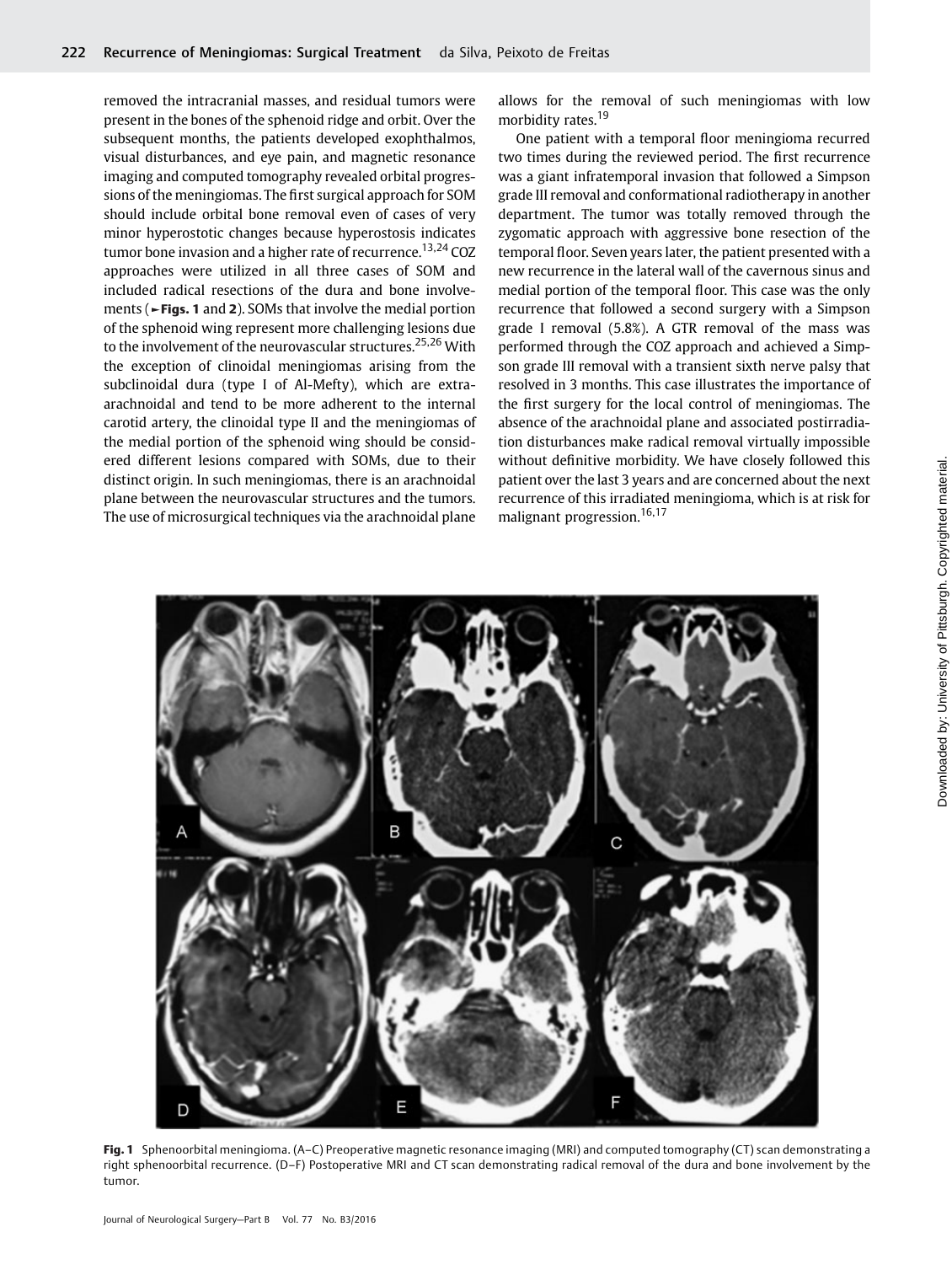removed the intracranial masses, and residual tumors were present in the bones of the sphenoid ridge and orbit. Over the subsequent months, the patients developed exophthalmos, visual disturbances, and eye pain, and magnetic resonance imaging and computed tomography revealed orbital progressions of the meningiomas. The first surgical approach for SOM should include orbital bone removal even of cases of very minor hyperostotic changes because hyperostosis indicates tumor bone invasion and a higher rate of recurrence.<sup>13,24</sup> COZ approaches were utilized in all three cases of SOM and included radical resections of the dura and bone involvements (►Figs. 1 and 2). SOMs that involve the medial portion of the sphenoid wing represent more challenging lesions due to the involvement of the neurovascular structures.<sup>25,26</sup> With the exception of clinoidal meningiomas arising from the subclinoidal dura (type I of Al-Mefty), which are extraarachnoidal and tend to be more adherent to the internal carotid artery, the clinoidal type II and the meningiomas of the medial portion of the sphenoid wing should be considered different lesions compared with SOMs, due to their distinct origin. In such meningiomas, there is an arachnoidal plane between the neurovascular structures and the tumors. The use of microsurgical techniques via the arachnoidal plane

allows for the removal of such meningiomas with low morbidity rates.<sup>19</sup>

One patient with a temporal floor meningioma recurred two times during the reviewed period. The first recurrence was a giant infratemporal invasion that followed a Simpson grade III removal and conformational radiotherapy in another department. The tumor was totally removed through the zygomatic approach with aggressive bone resection of the temporal floor. Seven years later, the patient presented with a new recurrence in the lateral wall of the cavernous sinus and medial portion of the temporal floor. This case was the only recurrence that followed a second surgery with a Simpson grade I removal (5.8%). A GTR removal of the mass was performed through the COZ approach and achieved a Simpson grade III removal with a transient sixth nerve palsy that resolved in 3 months. This case illustrates the importance of the first surgery for the local control of meningiomas. The absence of the arachnoidal plane and associated postirradiation disturbances make radical removal virtually impossible without definitive morbidity. We have closely followed this patient over the last 3 years and are concerned about the next recurrence of this irradiated meningioma, which is at risk for malignant progression.<sup>16,17</sup>



Fig. 1 Sphenoorbital meningioma. (A-C) Preoperative magnetic resonance imaging (MRI) and computed tomography (CT) scan demonstrating a right sphenoorbital recurrence. (D–F) Postoperative MRI and CT scan demonstrating radical removal of the dura and bone involvement by the tumor.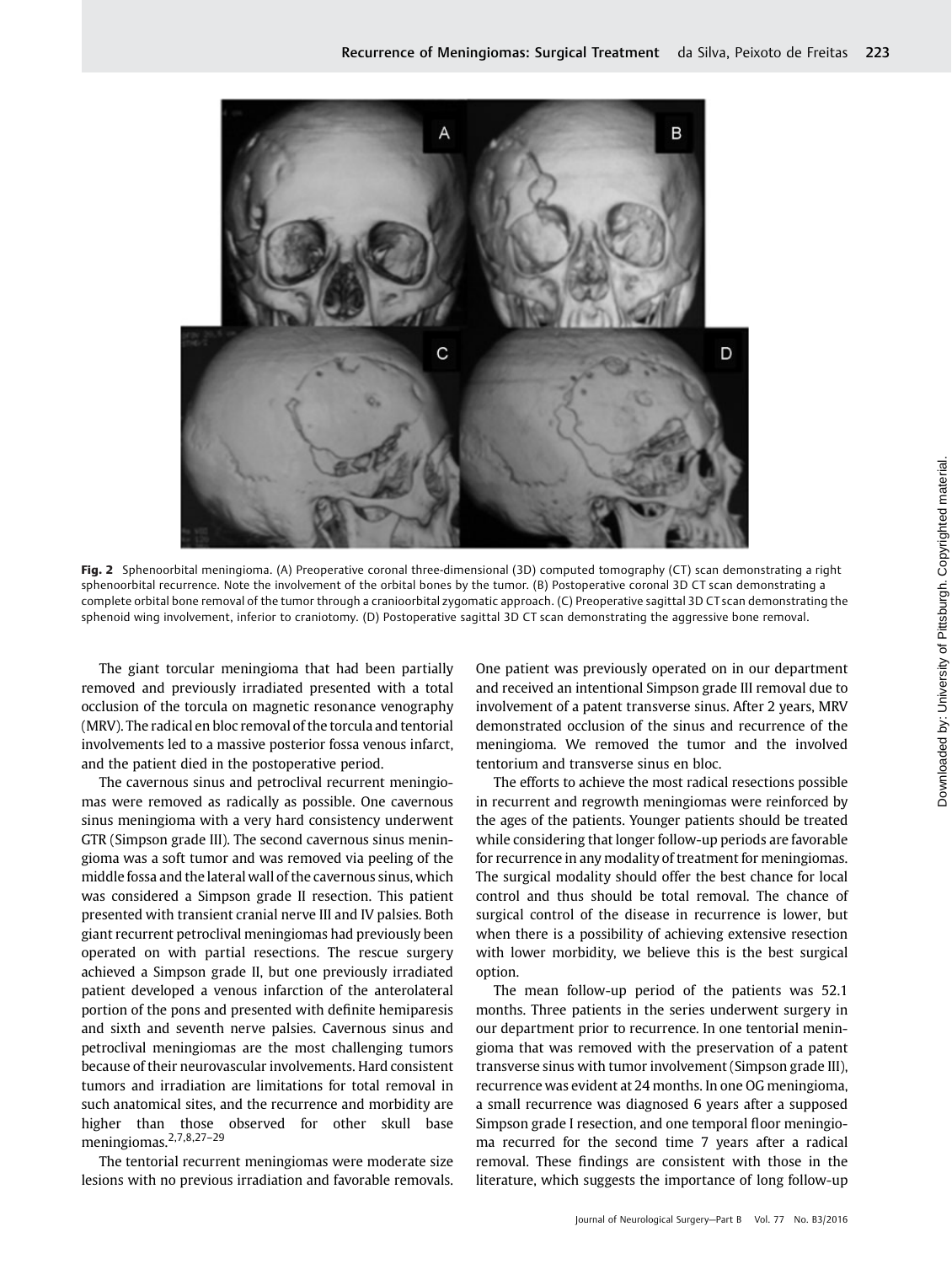

Fig. 2 Sphenoorbital meningioma. (A) Preoperative coronal three-dimensional (3D) computed tomography (CT) scan demonstrating a right sphenoorbital recurrence. Note the involvement of the orbital bones by the tumor. (B) Postoperative coronal 3D CT scan demonstrating a complete orbital bone removal of the tumor through a cranioorbital zygomatic approach. (C) Preoperative sagittal 3D CT scan demonstrating the sphenoid wing involvement, inferior to craniotomy. (D) Postoperative sagittal 3D CT scan demonstrating the aggressive bone removal.

The giant torcular meningioma that had been partially removed and previously irradiated presented with a total occlusion of the torcula on magnetic resonance venography (MRV). The radical en bloc removal of the torcula and tentorial involvements led to a massive posterior fossa venous infarct, and the patient died in the postoperative period.

The cavernous sinus and petroclival recurrent meningiomas were removed as radically as possible. One cavernous sinus meningioma with a very hard consistency underwent GTR (Simpson grade III). The second cavernous sinus meningioma was a soft tumor and was removed via peeling of the middle fossa and the lateral wall of the cavernous sinus, which was considered a Simpson grade II resection. This patient presented with transient cranial nerve III and IV palsies. Both giant recurrent petroclival meningiomas had previously been operated on with partial resections. The rescue surgery achieved a Simpson grade II, but one previously irradiated patient developed a venous infarction of the anterolateral portion of the pons and presented with definite hemiparesis and sixth and seventh nerve palsies. Cavernous sinus and petroclival meningiomas are the most challenging tumors because of their neurovascular involvements. Hard consistent tumors and irradiation are limitations for total removal in such anatomical sites, and the recurrence and morbidity are higher than those observed for other skull base meningiomas.<sup>2,7,8,27-29</sup>

The tentorial recurrent meningiomas were moderate size lesions with no previous irradiation and favorable removals. One patient was previously operated on in our department and received an intentional Simpson grade III removal due to involvement of a patent transverse sinus. After 2 years, MRV demonstrated occlusion of the sinus and recurrence of the meningioma. We removed the tumor and the involved tentorium and transverse sinus en bloc.

The efforts to achieve the most radical resections possible in recurrent and regrowth meningiomas were reinforced by the ages of the patients. Younger patients should be treated while considering that longer follow-up periods are favorable for recurrence in any modality of treatment for meningiomas. The surgical modality should offer the best chance for local control and thus should be total removal. The chance of surgical control of the disease in recurrence is lower, but when there is a possibility of achieving extensive resection with lower morbidity, we believe this is the best surgical option.

The mean follow-up period of the patients was 52.1 months. Three patients in the series underwent surgery in our department prior to recurrence. In one tentorial meningioma that was removed with the preservation of a patent transverse sinus with tumor involvement (Simpson grade III), recurrence was evident at 24 months. In one OG meningioma, a small recurrence was diagnosed 6 years after a supposed Simpson grade I resection, and one temporal floor meningioma recurred for the second time 7 years after a radical removal. These findings are consistent with those in the literature, which suggests the importance of long follow-up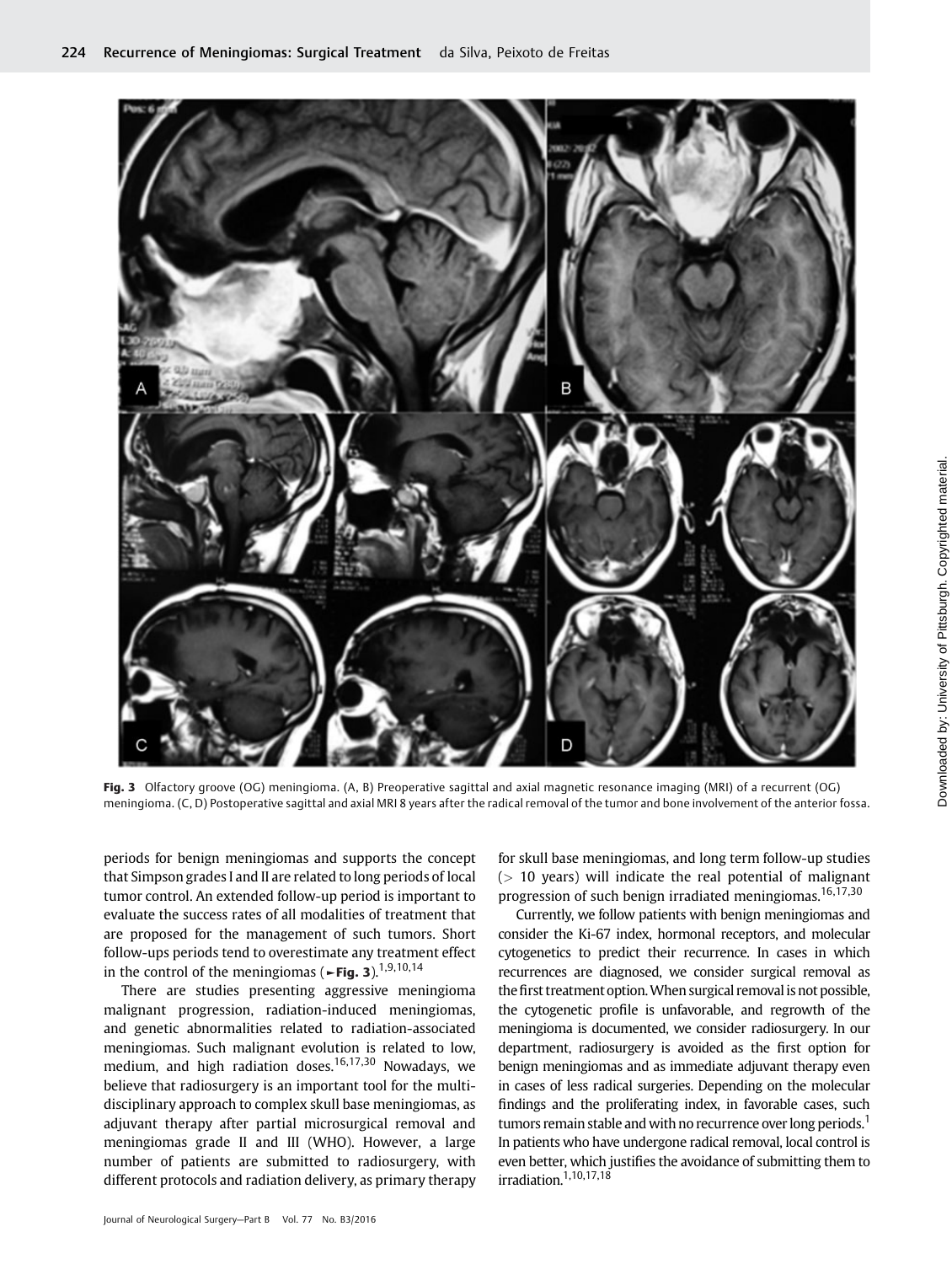

Fig. 3 Olfactory groove (OG) meningioma. (A, B) Preoperative sagittal and axial magnetic resonance imaging (MRI) of a recurrent (OG) meningioma. (C, D) Postoperative sagittal and axial MRI 8 years after the radical removal of the tumor and bone involvement of the anterior fossa.

periods for benign meningiomas and supports the concept that Simpson grades I and II are related to long periods of local tumor control. An extended follow-up period is important to evaluate the success rates of all modalities of treatment that are proposed for the management of such tumors. Short follow-ups periods tend to overestimate any treatment effect in the control of the meningiomas ( $\blacktriangleright$ Fig. 3).<sup>1,9,10,14</sup>

There are studies presenting aggressive meningioma malignant progression, radiation-induced meningiomas, and genetic abnormalities related to radiation-associated meningiomas. Such malignant evolution is related to low, medium, and high radiation doses.<sup>16,17,30</sup> Nowadays, we believe that radiosurgery is an important tool for the multidisciplinary approach to complex skull base meningiomas, as adjuvant therapy after partial microsurgical removal and meningiomas grade II and III (WHO). However, a large number of patients are submitted to radiosurgery, with different protocols and radiation delivery, as primary therapy

for skull base meningiomas, and long term follow-up studies  $($  10 years) will indicate the real potential of malignant progression of such benign irradiated meningiomas.<sup>16,17,30</sup>

Currently, we follow patients with benign meningiomas and consider the Ki-67 index, hormonal receptors, and molecular cytogenetics to predict their recurrence. In cases in which recurrences are diagnosed, we consider surgical removal as the first treatment option. When surgical removal is not possible, the cytogenetic profile is unfavorable, and regrowth of the meningioma is documented, we consider radiosurgery. In our department, radiosurgery is avoided as the first option for benign meningiomas and as immediate adjuvant therapy even in cases of less radical surgeries. Depending on the molecular findings and the proliferating index, in favorable cases, such tumors remain stable and with no recurrence over long periods.<sup>1</sup> In patients who have undergone radical removal, local control is even better, which justifies the avoidance of submitting them to irradiation.<sup>1,10,17,18</sup>